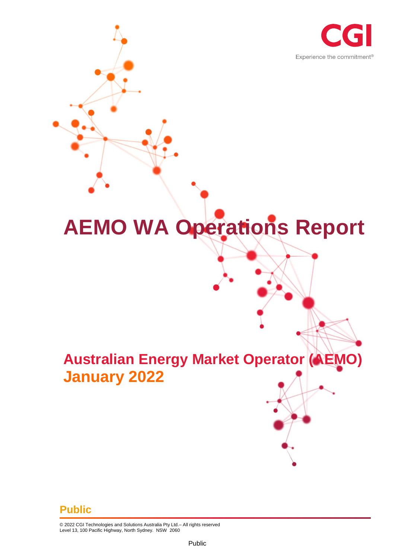

# **AEMO WA Operations Report**

## **Australian Energy Market Operator (AEMO) January 2022**

#### **Public**

© 2022 CGI Technologies and Solutions Australia Pty Ltd.– All rights reserved Level 13, 100 Pacific Highway, North Sydney. NSW 2060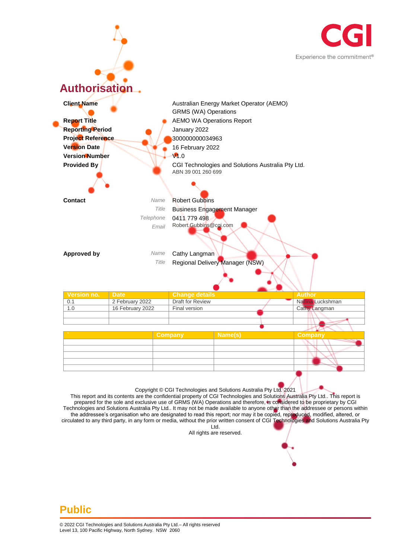



This report and its contents are the confidential property of CGI Technologies and Solutions Australia Pty Ltd.. This report is prepared for the sole and exclusive use of GRMS (WA) Operations and therefore, is considered to be proprietary by CGI Technologies and Solutions Australia Pty Ltd.. It may not be made available to anyone other than the addressee or persons within the addressee's organisation who are designated to read this report; nor may it be copied, reproduced, modified, altered, or circulated to any third party, in any form or media, without the prior written consent of CGI Technologies and Solutions Australia Pty Ltd.

All rights are reserved.

#### **Public**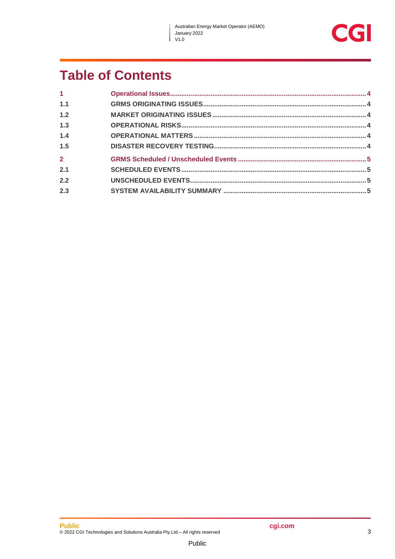$\overline{\phantom{a}}$ 



## **Table of Contents**

| $\mathbf 1$    |  |
|----------------|--|
| 1.1            |  |
| 1.2            |  |
| 1.3            |  |
| 1.4            |  |
| 1.5            |  |
| $\overline{2}$ |  |
| 2.1            |  |
| 2.2            |  |
| 2.3            |  |
|                |  |

Public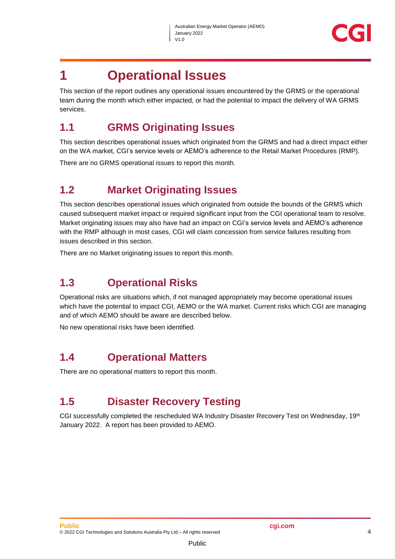

### <span id="page-3-0"></span>**1 Operational Issues**

This section of the report outlines any operational issues encountered by the GRMS or the operational team during the month which either impacted, or had the potential to impact the delivery of WA GRMS services.

#### <span id="page-3-1"></span>**1.1 GRMS Originating Issues**

This section describes operational issues which originated from the GRMS and had a direct impact either on the WA market, CGI's service levels or AEMO's adherence to the Retail Market Procedures (RMP).

There are no GRMS operational issues to report this month.

#### <span id="page-3-2"></span>**1.2 Market Originating Issues**

This section describes operational issues which originated from outside the bounds of the GRMS which caused subsequent market impact or required significant input from the CGI operational team to resolve. Market originating issues may also have had an impact on CGI's service levels and AEMO's adherence with the RMP although in most cases, CGI will claim concession from service failures resulting from issues described in this section.

There are no Market originating issues to report this month.

#### <span id="page-3-3"></span>**1.3 Operational Risks**

Operational risks are situations which, if not managed appropriately may become operational issues which have the potential to impact CGI, AEMO or the WA market. Current risks which CGI are managing and of which AEMO should be aware are described below.

No new operational risks have been identified.

#### <span id="page-3-4"></span>**1.4 Operational Matters**

There are no operational matters to report this month.

#### <span id="page-3-5"></span>**1.5 Disaster Recovery Testing**

CGI successfully completed the rescheduled WA Industry Disaster Recovery Test on Wednesday, 19th January 2022. A report has been provided to AEMO.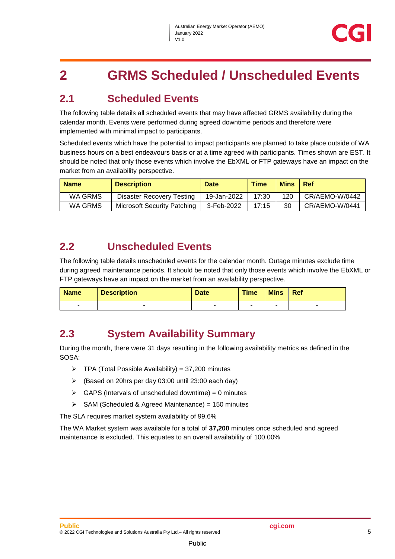## <span id="page-4-0"></span>**2 GRMS Scheduled / Unscheduled Events**

#### <span id="page-4-1"></span>**2.1 Scheduled Events**

The following table details all scheduled events that may have affected GRMS availability during the calendar month. Events were performed during agreed downtime periods and therefore were implemented with minimal impact to participants.

Scheduled events which have the potential to impact participants are planned to take place outside of WA business hours on a best endeavours basis or at a time agreed with participants. Times shown are EST. It should be noted that only those events which involve the EbXML or FTP gateways have an impact on the market from an availability perspective.

| <b>Name</b> | <b>Description</b>                 | <b>Date</b> | <b>Time</b> | <b>Mins</b> | l Ref          |
|-------------|------------------------------------|-------------|-------------|-------------|----------------|
| WA GRMS     | Disaster Recovery Testing          | 19-Jan-2022 | 17:30       | 120         | CR/AEMO-W/0442 |
| WA GRMS     | <b>Microsoft Security Patching</b> | 3-Feb-2022  | 17:15       | 30          | CR/AEMO-W/0441 |

#### <span id="page-4-2"></span>**2.2 Unscheduled Events**

The following table details unscheduled events for the calendar month. Outage minutes exclude time during agreed maintenance periods. It should be noted that only those events which involve the EbXML or FTP gateways have an impact on the market from an availability perspective.

| <b>Name</b> | <b>Description</b> | <b>Date</b>              | <b>Time</b> | <b>Mins</b> | Ref |
|-------------|--------------------|--------------------------|-------------|-------------|-----|
|             |                    | $\overline{\phantom{a}}$ | -           |             |     |

#### <span id="page-4-3"></span>**2.3 System Availability Summary**

During the month, there were 31 days resulting in the following availability metrics as defined in the SOSA:

- $\triangleright$  TPA (Total Possible Availability) = 37,200 minutes
- (Based on 20hrs per day 03:00 until 23:00 each day)
- $\triangleright$  GAPS (Intervals of unscheduled downtime) = 0 minutes
- $\triangleright$  SAM (Scheduled & Agreed Maintenance) = 150 minutes

The SLA requires market system availability of 99.6%

The WA Market system was available for a total of **37,200** minutes once scheduled and agreed maintenance is excluded. This equates to an overall availability of 100.00%